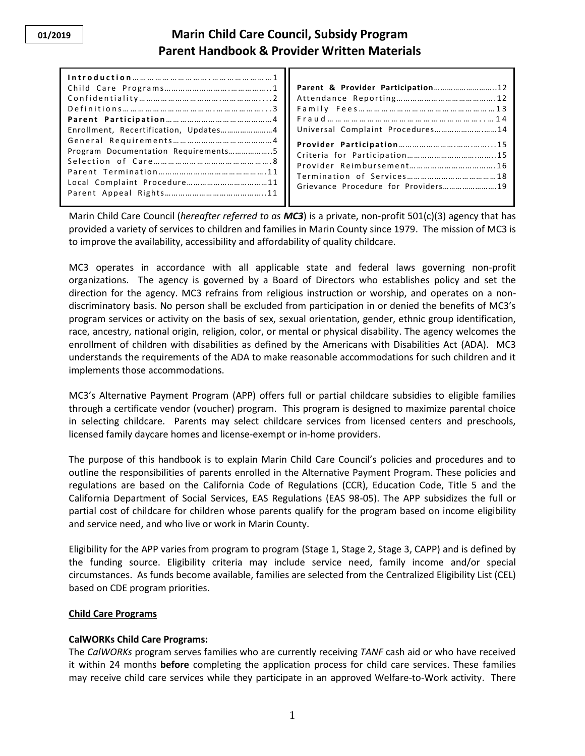## **Marin Child Care Council, Subsidy Program Parent Handbook & Provider Written Materials**

|                                       | Parent &    |
|---------------------------------------|-------------|
|                                       | Attendand   |
|                                       | Family F    |
|                                       | $Findu$ d   |
| Enrollment, Recertification, Updates4 | Universal   |
|                                       | Provider    |
|                                       | Criteria fo |
|                                       | Provider    |
|                                       | Terminati   |
| Local Complaint Procedure11           |             |
|                                       | Grievance   |
|                                       |             |

| Parent & Provider Participation12 |  |
|-----------------------------------|--|
|                                   |  |
|                                   |  |
|                                   |  |
| Universal Complaint Procedures14  |  |
|                                   |  |
|                                   |  |
|                                   |  |
| Provider Reimbursement16          |  |
|                                   |  |

Marin Child Care Council (*hereafter referred to as MC3*) is a private, non-profit 501(c)(3) agency that has provided a variety of services to children and families in Marin County since 1979. The mission of MC3 is to improve the availability, accessibility and affordability of quality childcare.

MC3 operates in accordance with all applicable state and federal laws governing non-profit organizations. The agency is governed by a Board of Directors who establishes policy and set the direction for the agency. MC3 refrains from religious instruction or worship, and operates on a nondiscriminatory basis. No person shall be excluded from participation in or denied the benefits of MC3's program services or activity on the basis of sex, sexual orientation, gender, ethnic group identification, race, ancestry, national origin, religion, color, or mental or physical disability. The agency welcomes the enrollment of children with disabilities as defined by the Americans with Disabilities Act (ADA). MC3 understands the requirements of the ADA to make reasonable accommodations for such children and it implements those accommodations.

MC3's Alternative Payment Program (APP) offers full or partial childcare subsidies to eligible families through a certificate vendor (voucher) program. This program is designed to maximize parental choice in selecting childcare. Parents may select childcare services from licensed centers and preschools, licensed family daycare homes and license-exempt or in-home providers.

The purpose of this handbook is to explain Marin Child Care Council's policies and procedures and to outline the responsibilities of parents enrolled in the Alternative Payment Program. These policies and regulations are based on the California Code of Regulations (CCR), Education Code, Title 5 and the California Department of Social Services, EAS Regulations (EAS 98-05). The APP subsidizes the full or partial cost of childcare for children whose parents qualify for the program based on income eligibility and service need, and who live or work in Marin County.

Eligibility for the APP varies from program to program (Stage 1, Stage 2, Stage 3, CAPP) and is defined by the funding source. Eligibility criteria may include service need, family income and/or special circumstances. As funds become available, families are selected from the Centralized Eligibility List (CEL) based on CDE program priorities.

#### **Child Care Programs**

#### **CalWORKs Child Care Programs:**

The *CalWORKs* program serves families who are currently receiving *TANF* cash aid or who have received it within 24 months **before** completing the application process for child care services. These families may receive child care services while they participate in an approved Welfare-to-Work activity. There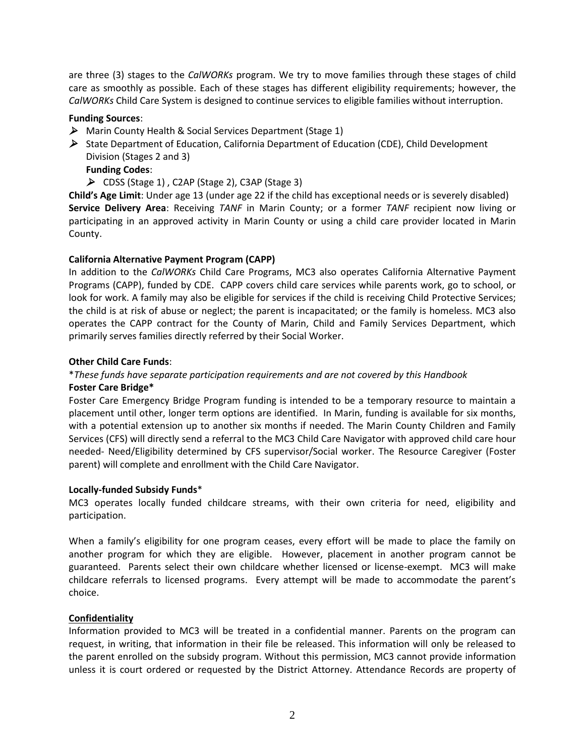are three (3) stages to the *CalWORKs* program. We try to move families through these stages of child care as smoothly as possible. Each of these stages has different eligibility requirements; however, the *CalWORKs* Child Care System is designed to continue services to eligible families without interruption.

#### **Funding Sources**:

- Marin County Health & Social Services Department (Stage 1)
- $\triangleright$  State Department of Education, California Department of Education (CDE), Child Development Division (Stages 2 and 3)
	- **Funding Codes**:
	- CDSS (Stage 1) , C2AP (Stage 2), C3AP (Stage 3)

**Child's Age Limit**: Under age 13 (under age 22 if the child has exceptional needs or is severely disabled) **Service Delivery Area**: Receiving *TANF* in Marin County; or a former *TANF* recipient now living or participating in an approved activity in Marin County or using a child care provider located in Marin County.

## **California Alternative Payment Program (CAPP)**

In addition to the *CalWORKs* Child Care Programs, MC3 also operates California Alternative Payment Programs (CAPP), funded by CDE. CAPP covers child care services while parents work, go to school, or look for work. A family may also be eligible for services if the child is receiving Child Protective Services; the child is at risk of abuse or neglect; the parent is incapacitated; or the family is homeless. MC3 also operates the CAPP contract for the County of Marin, Child and Family Services Department, which primarily serves families directly referred by their Social Worker.

## **Other Child Care Funds**:

# \**These funds have separate participation requirements and are not covered by this Handbook*

## **Foster Care Bridge\***

Foster Care Emergency Bridge Program funding is intended to be a temporary resource to maintain a placement until other, longer term options are identified. In Marin, funding is available for six months, with a potential extension up to another six months if needed. The Marin County Children and Family Services (CFS) will directly send a referral to the MC3 Child Care Navigator with approved child care hour needed- Need/Eligibility determined by CFS supervisor/Social worker. The Resource Caregiver (Foster parent) will complete and enrollment with the Child Care Navigator.

#### **Locally-funded Subsidy Funds**\*

MC3 operates locally funded childcare streams, with their own criteria for need, eligibility and participation.

When a family's eligibility for one program ceases, every effort will be made to place the family on another program for which they are eligible. However, placement in another program cannot be guaranteed. Parents select their own childcare whether licensed or license-exempt. MC3 will make childcare referrals to licensed programs. Every attempt will be made to accommodate the parent's choice.

#### **Confidentiality**

Information provided to MC3 will be treated in a confidential manner. Parents on the program can request, in writing, that information in their file be released. This information will only be released to the parent enrolled on the subsidy program. Without this permission, MC3 cannot provide information unless it is court ordered or requested by the District Attorney. Attendance Records are property of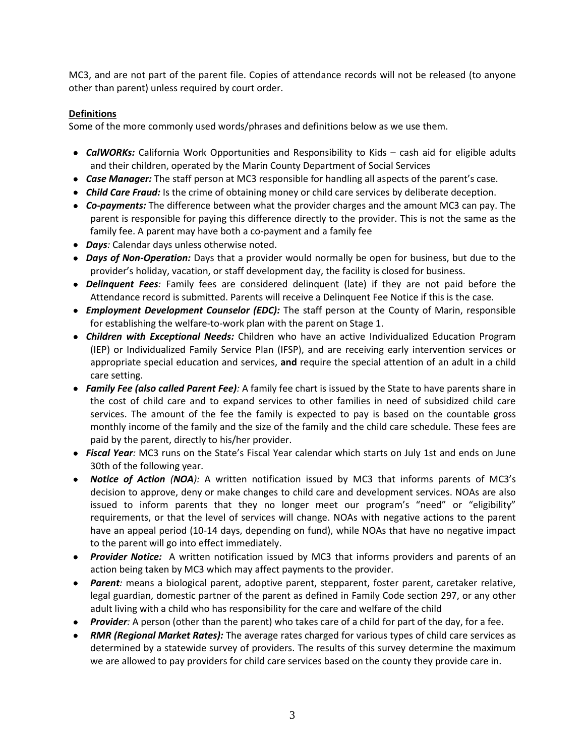MC3, and are not part of the parent file. Copies of attendance records will not be released (to anyone other than parent) unless required by court order.

## **Definitions**

Some of the more commonly used words/phrases and definitions below as we use them.

- *CalWORKs:* California Work Opportunities and Responsibility to Kids cash aid for eligible adults and their children, operated by the Marin County Department of Social Services
- *Case Manager:* The staff person at MC3 responsible for handling all aspects of the parent's case.
- *Child Care Fraud:* Is the crime of obtaining money or child care services by deliberate deception.
- *Co-payments:* The difference between what the provider charges and the amount MC3 can pay. The parent is responsible for paying this difference directly to the provider. This is not the same as the family fee. A parent may have both a co-payment and a family fee
- *Days:* Calendar days unless otherwise noted.
- *Days of Non-Operation:* Days that a provider would normally be open for business, but due to the provider's holiday, vacation, or staff development day, the facility is closed for business.
- *Delinquent Fees:* Family fees are considered delinquent (late) if they are not paid before the Attendance record is submitted. Parents will receive a Delinquent Fee Notice if this is the case.
- *Employment Development Counselor (EDC):* The staff person at the County of Marin, responsible for establishing the welfare-to-work plan with the parent on Stage 1.
- *Children with Exceptional Needs:* Children who have an active Individualized Education Program (IEP) or Individualized Family Service Plan (IFSP), and are receiving early intervention services or appropriate special education and services, **and** require the special attention of an adult in a child care setting.
- *Family Fee (also called Parent Fee):* A family fee chart is issued by the State to have parents share in the cost of child care and to expand services to other families in need of subsidized child care services. The amount of the fee the family is expected to pay is based on the countable gross monthly income of the family and the size of the family and the child care schedule. These fees are paid by the parent, directly to his/her provider.
- *Fiscal Year:* MC3 runs on the State's Fiscal Year calendar which starts on July 1st and ends on June 30th of the following year.
- *Notice of Action (NOA):* A written notification issued by MC3 that informs parents of MC3's decision to approve, deny or make changes to child care and development services. NOAs are also issued to inform parents that they no longer meet our program's "need" or "eligibility" requirements, or that the level of services will change. NOAs with negative actions to the parent have an appeal period (10-14 days, depending on fund), while NOAs that have no negative impact to the parent will go into effect immediately.
- *Provider Notice:* A written notification issued by MC3 that informs providers and parents of an action being taken by MC3 which may affect payments to the provider.
- *Parent:* means a biological parent, adoptive parent, stepparent, foster parent, caretaker relative, legal guardian, domestic partner of the parent as defined in Family Code section 297, or any other adult living with a child who has responsibility for the care and welfare of the child
- *Provider:* A person (other than the parent) who takes care of a child for part of the day, for a fee.
- *RMR (Regional Market Rates):* The average rates charged for various types of child care services as determined by a statewide survey of providers. The results of this survey determine the maximum we are allowed to pay providers for child care services based on the county they provide care in.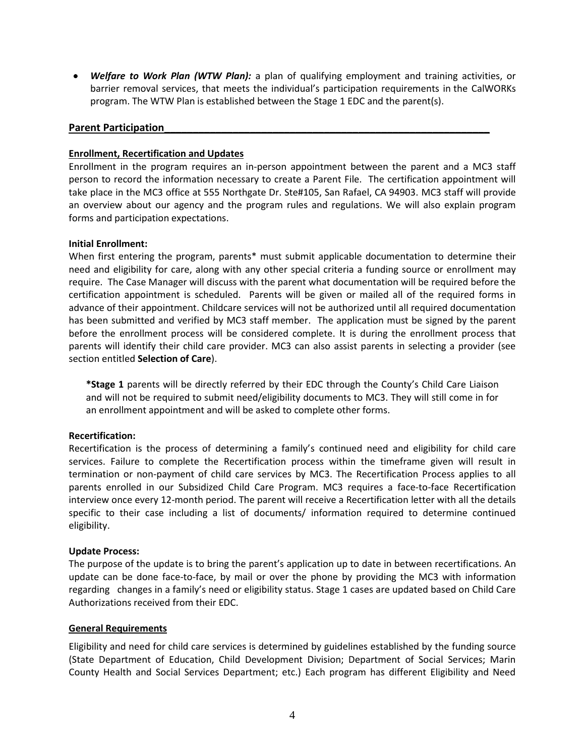*Welfare to Work Plan (WTW Plan):* a plan of qualifying employment and training activities, or barrier removal services, that meets the individual's participation requirements in the CalWORKs program. The WTW Plan is established between the Stage 1 EDC and the parent(s).

#### **Parent Participation**

#### **Enrollment, Recertification and Updates**

Enrollment in the program requires an in-person appointment between the parent and a MC3 staff person to record the information necessary to create a Parent File. The certification appointment will take place in the MC3 office at 555 Northgate Dr. Ste#105, San Rafael, CA 94903. MC3 staff will provide an overview about our agency and the program rules and regulations. We will also explain program forms and participation expectations.

#### **Initial Enrollment:**

When first entering the program, parents\* must submit applicable documentation to determine their need and eligibility for care, along with any other special criteria a funding source or enrollment may require. The Case Manager will discuss with the parent what documentation will be required before the certification appointment is scheduled. Parents will be given or mailed all of the required forms in advance of their appointment. Childcare services will not be authorized until all required documentation has been submitted and verified by MC3 staff member. The application must be signed by the parent before the enrollment process will be considered complete. It is during the enrollment process that parents will identify their child care provider. MC3 can also assist parents in selecting a provider (see section entitled **Selection of Care**).

**\*Stage 1** parents will be directly referred by their EDC through the County's Child Care Liaison and will not be required to submit need/eligibility documents to MC3. They will still come in for an enrollment appointment and will be asked to complete other forms.

#### **Recertification:**

Recertification is the process of determining a family's continued need and eligibility for child care services. Failure to complete the Recertification process within the timeframe given will result in termination or non-payment of child care services by MC3. The Recertification Process applies to all parents enrolled in our Subsidized Child Care Program. MC3 requires a face-to-face Recertification interview once every 12-month period. The parent will receive a Recertification letter with all the details specific to their case including a list of documents/ information required to determine continued eligibility.

#### **Update Process:**

The purpose of the update is to bring the parent's application up to date in between recertifications. An update can be done face-to-face, by mail or over the phone by providing the MC3 with information regarding changes in a family's need or eligibility status. Stage 1 cases are updated based on Child Care Authorizations received from their EDC.

#### **General Requirements**

Eligibility and need for child care services is determined by guidelines established by the funding source (State Department of Education, Child Development Division; Department of Social Services; Marin County Health and Social Services Department; etc.) Each program has different Eligibility and Need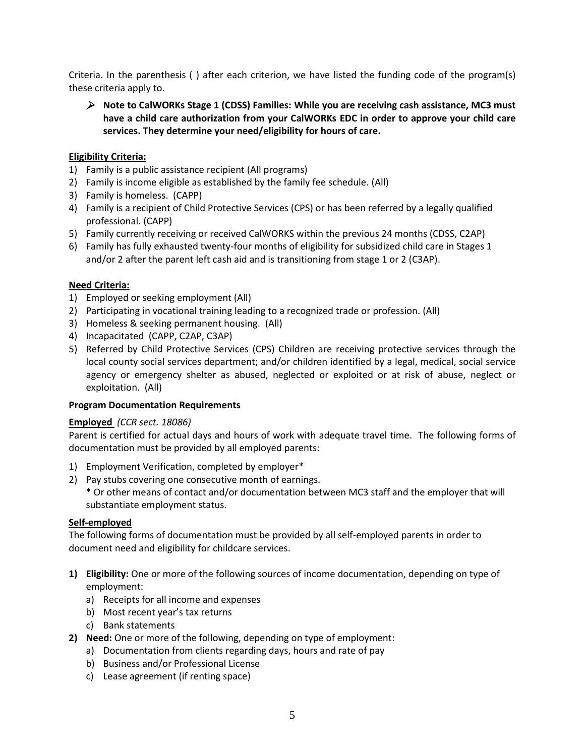Criteria. In the parenthesis ( ) after each criterion, we have listed the funding code of the program(s) these criteria apply to.

 **Note to CalWORKs Stage 1 (CDSS) Families: While you are receiving cash assistance, MC3 must have a child care authorization from your CalWORKs EDC in order to approve your child care services. They determine your need/eligibility for hours of care.**

## **Eligibility Criteria:**

- 1) Family is a public assistance recipient (All programs)
- 2) Family is income eligible as established by the family fee schedule. (All)
- 3) Family is homeless. (CAPP)
- 4) Family is a recipient of Child Protective Services (CPS) or has been referred by a legally qualified professional. (CAPP)
- 5) Family currently receiving or received CalWORKS within the previous 24 months (CDSS, C2AP)
- 6) Family has fully exhausted twenty-four months of eligibility for subsidized child care in Stages 1 and/or 2 after the parent left cash aid and is transitioning from stage 1 or 2 (C3AP).

#### **Need Criteria:**

- 1) Employed or seeking employment (All)
- 2) Participating in vocational training leading to a recognized trade or profession. (All)
- 3) Homeless & seeking permanent housing. (All)
- 4) Incapacitated (CAPP, C2AP, C3AP)
- 5) Referred by Child Protective Services (CPS) Children are receiving protective services through the local county social services department; and/or children identified by a legal, medical, social service agency or emergency shelter as abused, neglected or exploited or at risk of abuse, neglect or exploitation. (All)

#### **Program Documentation Requirements**

#### **Employed** *(CCR sect. 18086)*

Parent is certified for actual days and hours of work with adequate travel time. The following forms of documentation must be provided by all employed parents:

- 1) Employment Verification, completed by employer\*
- 2) Pay stubs covering one consecutive month of earnings.
	- \* Or other means of contact and/or documentation between MC3 staff and the employer that will substantiate employment status.

#### **Self-employed**

The following forms of documentation must be provided by all self-employed parents in order to document need and eligibility for childcare services.

- **1) Eligibility:** One or more of the following sources of income documentation, depending on type of employment:
	- a) Receipts for all income and expenses
	- b) Most recent year's tax returns
	- c) Bank statements
- **2) Need:** One or more of the following, depending on type of employment:
	- a) Documentation from clients regarding days, hours and rate of pay
	- b) Business and/or Professional License
	- c) Lease agreement (if renting space)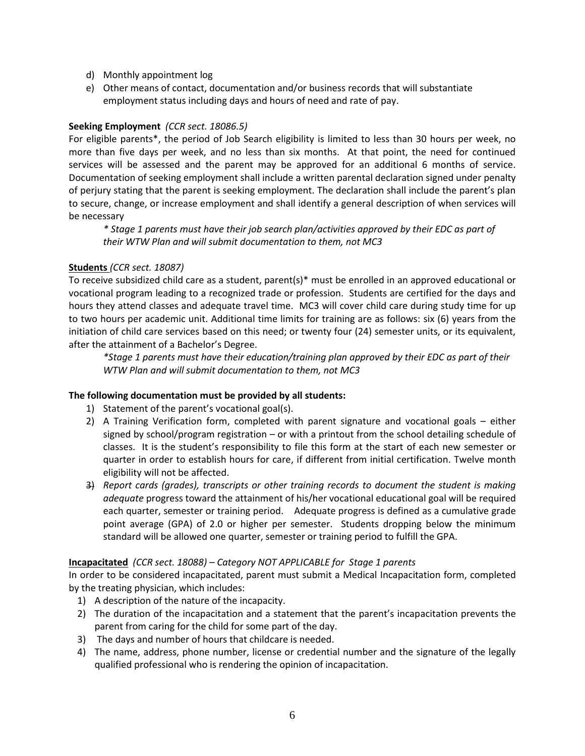- d) Monthly appointment log
- e) Other means of contact, documentation and/or business records that will substantiate employment status including days and hours of need and rate of pay.

## **Seeking Employment** *(CCR sect. 18086.5)*

For eligible parents\*, the period of Job Search eligibility is limited to less than 30 hours per week, no more than five days per week, and no less than six months. At that point, the need for continued services will be assessed and the parent may be approved for an additional 6 months of service. Documentation of seeking employment shall include a written parental declaration signed under penalty of perjury stating that the parent is seeking employment. The declaration shall include the parent's plan to secure, change, or increase employment and shall identify a general description of when services will be necessary

*\* Stage 1 parents must have their job search plan/activities approved by their EDC as part of their WTW Plan and will submit documentation to them, not MC3*

## **Students** *(CCR sect. 18087)*

To receive subsidized child care as a student, parent(s)\* must be enrolled in an approved educational or vocational program leading to a recognized trade or profession. Students are certified for the days and hours they attend classes and adequate travel time. MC3 will cover child care during study time for up to two hours per academic unit. Additional time limits for training are as follows: six (6) years from the initiation of child care services based on this need; or twenty four (24) semester units, or its equivalent, after the attainment of a Bachelor's Degree.

*\*Stage 1 parents must have their education/training plan approved by their EDC as part of their WTW Plan and will submit documentation to them, not MC3*

#### **The following documentation must be provided by all students:**

- 1) Statement of the parent's vocational goal(s).
- 2) A Training Verification form, completed with parent signature and vocational goals either signed by school/program registration – or with a printout from the school detailing schedule of classes. It is the student's responsibility to file this form at the start of each new semester or quarter in order to establish hours for care, if different from initial certification. Twelve month eligibility will not be affected.
- 3) *Report cards (grades), transcripts or other training records to document the student is making adequate* progress toward the attainment of his/her vocational educational goal will be required each quarter, semester or training period. Adequate progress is defined as a cumulative grade point average (GPA) of 2.0 or higher per semester. Students dropping below the minimum standard will be allowed one quarter, semester or training period to fulfill the GPA.

#### **Incapacitated** *(CCR sect. 18088) – Category NOT APPLICABLE for Stage 1 parents*

In order to be considered incapacitated, parent must submit a Medical Incapacitation form, completed by the treating physician, which includes:

- 1) A description of the nature of the incapacity.
- 2) The duration of the incapacitation and a statement that the parent's incapacitation prevents the parent from caring for the child for some part of the day.
- 3) The days and number of hours that childcare is needed.
- 4) The name, address, phone number, license or credential number and the signature of the legally qualified professional who is rendering the opinion of incapacitation.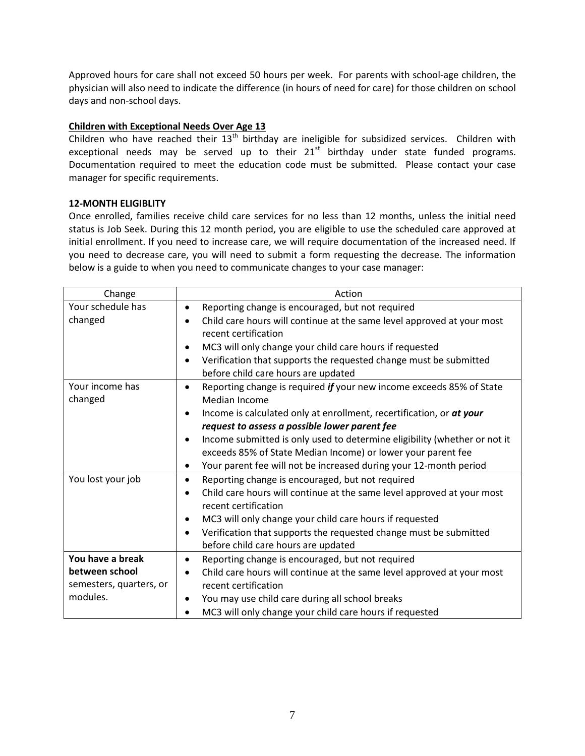Approved hours for care shall not exceed 50 hours per week. For parents with school-age children, the physician will also need to indicate the difference (in hours of need for care) for those children on school days and non-school days.

## **Children with Exceptional Needs Over Age 13**

Children who have reached their  $13<sup>th</sup>$  birthday are ineligible for subsidized services. Children with exceptional needs may be served up to their  $21<sup>st</sup>$  birthday under state funded programs. Documentation required to meet the education code must be submitted. Please contact your case manager for specific requirements.

## **12-MONTH ELIGIBLITY**

Once enrolled, families receive child care services for no less than 12 months, unless the initial need status is Job Seek. During this 12 month period, you are eligible to use the scheduled care approved at initial enrollment. If you need to increase care, we will require documentation of the increased need. If you need to decrease care, you will need to submit a form requesting the decrease. The information below is a guide to when you need to communicate changes to your case manager:

| Change                  | Action                                                                                                      |
|-------------------------|-------------------------------------------------------------------------------------------------------------|
| Your schedule has       | Reporting change is encouraged, but not required<br>٠                                                       |
| changed                 | Child care hours will continue at the same level approved at your most                                      |
|                         | recent certification                                                                                        |
|                         | MC3 will only change your child care hours if requested<br>٠                                                |
|                         | Verification that supports the requested change must be submitted<br>٠                                      |
|                         | before child care hours are updated                                                                         |
| Your income has         | Reporting change is required if your new income exceeds 85% of State<br>$\bullet$                           |
| changed                 | <b>Median Income</b>                                                                                        |
|                         | Income is calculated only at enrollment, recertification, or at your<br>٠                                   |
|                         | request to assess a possible lower parent fee                                                               |
|                         | Income submitted is only used to determine eligibility (whether or not it<br>$\bullet$                      |
|                         | exceeds 85% of State Median Income) or lower your parent fee                                                |
|                         | Your parent fee will not be increased during your 12-month period<br>$\bullet$                              |
| You lost your job       | Reporting change is encouraged, but not required<br>$\bullet$                                               |
|                         | Child care hours will continue at the same level approved at your most<br>$\bullet$<br>recent certification |
|                         | MC3 will only change your child care hours if requested<br>$\bullet$                                        |
|                         | Verification that supports the requested change must be submitted<br>$\bullet$                              |
|                         | before child care hours are updated                                                                         |
| You have a break        | Reporting change is encouraged, but not required<br>$\bullet$                                               |
| between school          | Child care hours will continue at the same level approved at your most<br>$\bullet$                         |
| semesters, quarters, or | recent certification                                                                                        |
| modules.                | You may use child care during all school breaks<br>٠                                                        |
|                         | MC3 will only change your child care hours if requested                                                     |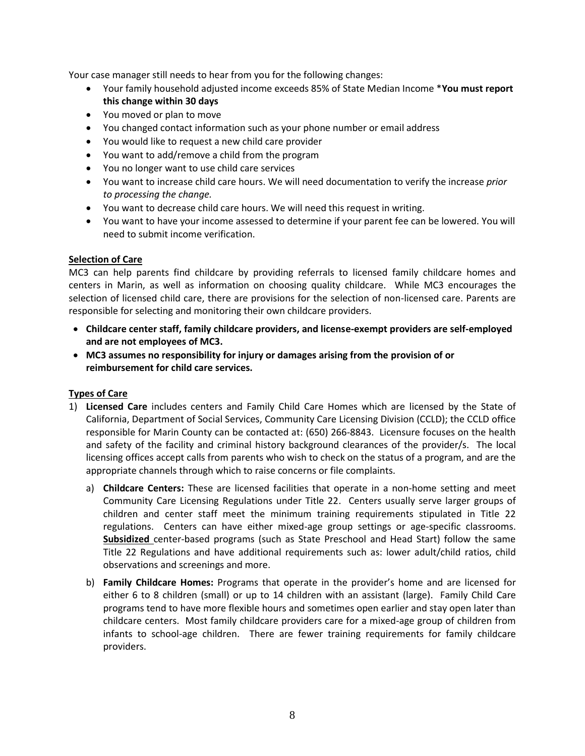Your case manager still needs to hear from you for the following changes:

- Your family household adjusted income exceeds 85% of State Median Income \***You must report this change within 30 days**
- You moved or plan to move
- You changed contact information such as your phone number or email address
- You would like to request a new child care provider
- You want to add/remove a child from the program
- You no longer want to use child care services
- You want to increase child care hours. We will need documentation to verify the increase *prior to processing the change.*
- You want to decrease child care hours. We will need this request in writing.
- You want to have your income assessed to determine if your parent fee can be lowered. You will need to submit income verification.

#### **Selection of Care**

MC3 can help parents find childcare by providing referrals to licensed family childcare homes and centers in Marin, as well as information on choosing quality childcare. While MC3 encourages the selection of licensed child care, there are provisions for the selection of non-licensed care. Parents are responsible for selecting and monitoring their own childcare providers.

- **Childcare center staff, family childcare providers, and license-exempt providers are self-employed and are not employees of MC3.**
- **MC3 assumes no responsibility for injury or damages arising from the provision of or reimbursement for child care services.**

#### **Types of Care**

- 1) **Licensed Care** includes centers and Family Child Care Homes which are licensed by the State of California, Department of Social Services, Community Care Licensing Division (CCLD); the CCLD office responsible for Marin County can be contacted at: (650) 266-8843. Licensure focuses on the health and safety of the facility and criminal history background clearances of the provider/s. The local licensing offices accept calls from parents who wish to check on the status of a program, and are the appropriate channels through which to raise concerns or file complaints.
	- a) **Childcare Centers:** These are licensed facilities that operate in a non-home setting and meet Community Care Licensing Regulations under Title 22. Centers usually serve larger groups of children and center staff meet the minimum training requirements stipulated in Title 22 regulations. Centers can have either mixed-age group settings or age-specific classrooms. **Subsidized** center-based programs (such as State Preschool and Head Start) follow the same Title 22 Regulations and have additional requirements such as: lower adult/child ratios, child observations and screenings and more.
	- b) **Family Childcare Homes:** Programs that operate in the provider's home and are licensed for either 6 to 8 children (small) or up to 14 children with an assistant (large). Family Child Care programs tend to have more flexible hours and sometimes open earlier and stay open later than childcare centers. Most family childcare providers care for a mixed-age group of children from infants to school-age children. There are fewer training requirements for family childcare providers.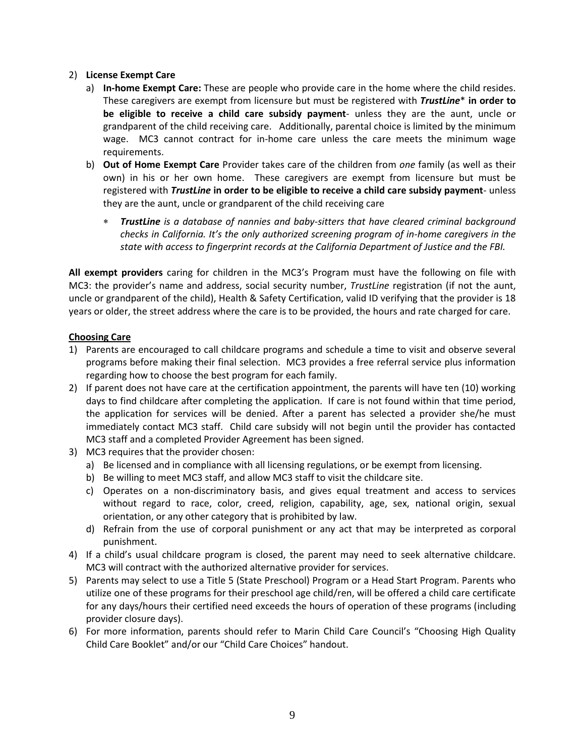#### 2) **License Exempt Care**

- a) **In-home Exempt Care:** These are people who provide care in the home where the child resides. These caregivers are exempt from licensure but must be registered with *TrustLine*\* **in order to be eligible to receive a child care subsidy payment**- unless they are the aunt, uncle or grandparent of the child receiving care. Additionally, parental choice is limited by the minimum wage. MC3 cannot contract for in-home care unless the care meets the minimum wage requirements.
- b) **Out of Home Exempt Care** Provider takes care of the children from *one* family (as well as their own) in his or her own home. These caregivers are exempt from licensure but must be registered with *TrustLine* **in order to be eligible to receive a child care subsidy payment**- unless they are the aunt, uncle or grandparent of the child receiving care
	- *TrustLine is a database of nannies and baby-sitters that have cleared criminal background checks in California. It's the only authorized screening program of in-home caregivers in the state with access to fingerprint records at the California Department of Justice and the FBI.*

**All exempt providers** caring for children in the MC3's Program must have the following on file with MC3: the provider's name and address, social security number, *TrustLine* registration (if not the aunt, uncle or grandparent of the child), Health & Safety Certification, valid ID verifying that the provider is 18 years or older, the street address where the care is to be provided, the hours and rate charged for care.

#### **Choosing Care**

- 1) Parents are encouraged to call childcare programs and schedule a time to visit and observe several programs before making their final selection. MC3 provides a free referral service plus information regarding how to choose the best program for each family.
- 2) If parent does not have care at the certification appointment, the parents will have ten (10) working days to find childcare after completing the application. If care is not found within that time period, the application for services will be denied. After a parent has selected a provider she/he must immediately contact MC3 staff. Child care subsidy will not begin until the provider has contacted MC3 staff and a completed Provider Agreement has been signed.
- 3) MC3 requires that the provider chosen:
	- a) Be licensed and in compliance with all licensing regulations, or be exempt from licensing.
	- b) Be willing to meet MC3 staff, and allow MC3 staff to visit the childcare site.
	- c) Operates on a non-discriminatory basis, and gives equal treatment and access to services without regard to race, color, creed, religion, capability, age, sex, national origin, sexual orientation, or any other category that is prohibited by law.
	- d) Refrain from the use of corporal punishment or any act that may be interpreted as corporal punishment.
- 4) If a child's usual childcare program is closed, the parent may need to seek alternative childcare. MC3 will contract with the authorized alternative provider for services.
- 5) Parents may select to use a Title 5 (State Preschool) Program or a Head Start Program. Parents who utilize one of these programs for their preschool age child/ren, will be offered a child care certificate for any days/hours their certified need exceeds the hours of operation of these programs (including provider closure days).
- 6) For more information, parents should refer to Marin Child Care Council's "Choosing High Quality Child Care Booklet" and/or our "Child Care Choices" handout.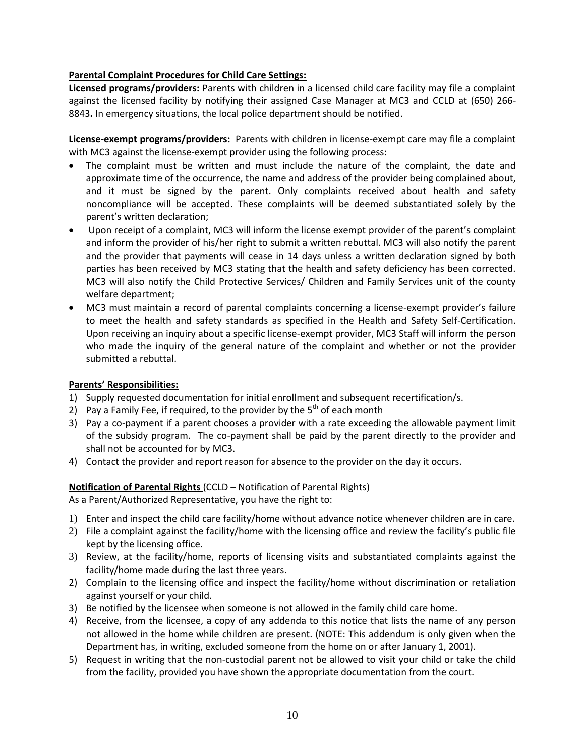#### **Parental Complaint Procedures for Child Care Settings:**

**Licensed programs/providers:** Parents with children in a licensed child care facility may file a complaint against the licensed facility by notifying their assigned Case Manager at MC3 and CCLD at (650) 266- 8843**.** In emergency situations, the local police department should be notified.

**License-exempt programs/providers:** Parents with children in license-exempt care may file a complaint with MC3 against the license-exempt provider using the following process:

- The complaint must be written and must include the nature of the complaint, the date and approximate time of the occurrence, the name and address of the provider being complained about, and it must be signed by the parent. Only complaints received about health and safety noncompliance will be accepted. These complaints will be deemed substantiated solely by the parent's written declaration;
- Upon receipt of a complaint, MC3 will inform the license exempt provider of the parent's complaint and inform the provider of his/her right to submit a written rebuttal. MC3 will also notify the parent and the provider that payments will cease in 14 days unless a written declaration signed by both parties has been received by MC3 stating that the health and safety deficiency has been corrected. MC3 will also notify the Child Protective Services/ Children and Family Services unit of the county welfare department;
- MC3 must maintain a record of parental complaints concerning a license-exempt provider's failure to meet the health and safety standards as specified in the Health and Safety Self-Certification. Upon receiving an inquiry about a specific license-exempt provider, MC3 Staff will inform the person who made the inquiry of the general nature of the complaint and whether or not the provider submitted a rebuttal.

#### **Parents' Responsibilities:**

- 1) Supply requested documentation for initial enrollment and subsequent recertification/s.
- 2) Pay a Family Fee, if required, to the provider by the  $5<sup>th</sup>$  of each month
- 3) Pay a co-payment if a parent chooses a provider with a rate exceeding the allowable payment limit of the subsidy program. The co-payment shall be paid by the parent directly to the provider and shall not be accounted for by MC3.
- 4) Contact the provider and report reason for absence to the provider on the day it occurs.

#### **Notification of Parental Rights** (CCLD – Notification of Parental Rights)

As a Parent/Authorized Representative, you have the right to:

- 1) Enter and inspect the child care facility/home without advance notice whenever children are in care.
- 2) File a complaint against the facility/home with the licensing office and review the facility's public file kept by the licensing office.
- 3) Review, at the facility/home, reports of licensing visits and substantiated complaints against the facility/home made during the last three years.
- 2) Complain to the licensing office and inspect the facility/home without discrimination or retaliation against yourself or your child.
- 3) Be notified by the licensee when someone is not allowed in the family child care home.
- 4) Receive, from the licensee, a copy of any addenda to this notice that lists the name of any person not allowed in the home while children are present. (NOTE: This addendum is only given when the Department has, in writing, excluded someone from the home on or after January 1, 2001).
- 5) Request in writing that the non-custodial parent not be allowed to visit your child or take the child from the facility, provided you have shown the appropriate documentation from the court.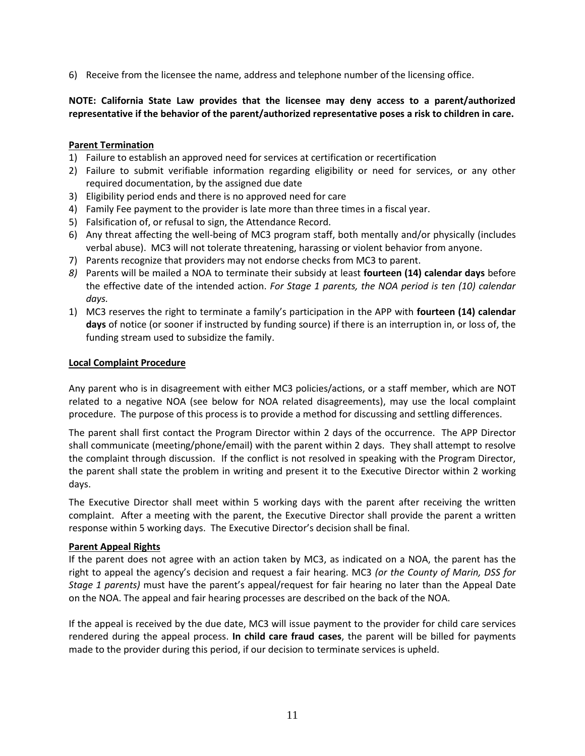6) Receive from the licensee the name, address and telephone number of the licensing office.

## **NOTE: California State Law provides that the licensee may deny access to a parent/authorized representative if the behavior of the parent/authorized representative poses a risk to children in care.**

#### **Parent Termination**

- 1) Failure to establish an approved need for services at certification or recertification
- 2) Failure to submit verifiable information regarding eligibility or need for services, or any other required documentation, by the assigned due date
- 3) Eligibility period ends and there is no approved need for care
- 4) Family Fee payment to the provider is late more than three times in a fiscal year.
- 5) Falsification of, or refusal to sign, the Attendance Record.
- 6) Any threat affecting the well-being of MC3 program staff, both mentally and/or physically (includes verbal abuse). MC3 will not tolerate threatening, harassing or violent behavior from anyone.
- 7) Parents recognize that providers may not endorse checks from MC3 to parent.
- *8)* Parents will be mailed a NOA to terminate their subsidy at least **fourteen (14) calendar days** before the effective date of the intended action. *For Stage 1 parents, the NOA period is ten (10) calendar days.*
- 1) MC3 reserves the right to terminate a family's participation in the APP with **fourteen (14) calendar days** of notice (or sooner if instructed by funding source) if there is an interruption in, or loss of, the funding stream used to subsidize the family.

#### **Local Complaint Procedure**

Any parent who is in disagreement with either MC3 policies/actions, or a staff member, which are NOT related to a negative NOA (see below for NOA related disagreements), may use the local complaint procedure. The purpose of this process is to provide a method for discussing and settling differences.

The parent shall first contact the Program Director within 2 days of the occurrence. The APP Director shall communicate (meeting/phone/email) with the parent within 2 days. They shall attempt to resolve the complaint through discussion. If the conflict is not resolved in speaking with the Program Director, the parent shall state the problem in writing and present it to the Executive Director within 2 working days.

The Executive Director shall meet within 5 working days with the parent after receiving the written complaint. After a meeting with the parent, the Executive Director shall provide the parent a written response within 5 working days. The Executive Director's decision shall be final.

#### **Parent Appeal Rights**

If the parent does not agree with an action taken by MC3, as indicated on a NOA, the parent has the right to appeal the agency's decision and request a fair hearing. MC3 *(or the County of Marin, DSS for Stage 1 parents)* must have the parent's appeal/request for fair hearing no later than the Appeal Date on the NOA. The appeal and fair hearing processes are described on the back of the NOA.

If the appeal is received by the due date, MC3 will issue payment to the provider for child care services rendered during the appeal process. **In child care fraud cases**, the parent will be billed for payments made to the provider during this period, if our decision to terminate services is upheld.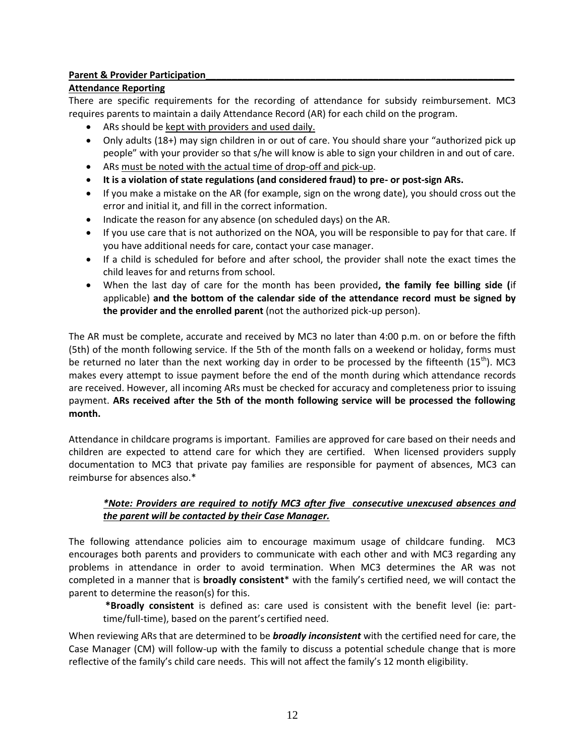## **Parent & Provider Participation**

## **Attendance Reporting**

There are specific requirements for the recording of attendance for subsidy reimbursement. MC3 requires parents to maintain a daily Attendance Record (AR) for each child on the program.

- ARs should be kept with providers and used daily.
- Only adults (18+) may sign children in or out of care. You should share your "authorized pick up people" with your provider so that s/he will know is able to sign your children in and out of care.
- ARs must be noted with the actual time of drop-off and pick-up.
- **It is a violation of state regulations (and considered fraud) to pre- or post-sign ARs.**
- If you make a mistake on the AR (for example, sign on the wrong date), you should cross out the error and initial it, and fill in the correct information.
- Indicate the reason for any absence (on scheduled days) on the AR.
- If you use care that is not authorized on the NOA, you will be responsible to pay for that care. If you have additional needs for care, contact your case manager.
- If a child is scheduled for before and after school, the provider shall note the exact times the child leaves for and returns from school.
- When the last day of care for the month has been provided**, the family fee billing side (**if applicable) **and the bottom of the calendar side of the attendance record must be signed by the provider and the enrolled parent** (not the authorized pick-up person).

The AR must be complete, accurate and received by MC3 no later than 4:00 p.m. on or before the fifth (5th) of the month following service. If the 5th of the month falls on a weekend or holiday, forms must be returned no later than the next working day in order to be processed by the fifteenth  $(15<sup>th</sup>)$ . MC3 makes every attempt to issue payment before the end of the month during which attendance records are received. However, all incoming ARs must be checked for accuracy and completeness prior to issuing payment. **ARs received after the 5th of the month following service will be processed the following month.** 

Attendance in childcare programs is important. Families are approved for care based on their needs and children are expected to attend care for which they are certified. When licensed providers supply documentation to MC3 that private pay families are responsible for payment of absences, MC3 can reimburse for absences also.\*

## *\*Note: Providers are required to notify MC3 after five consecutive unexcused absences and the parent will be contacted by their Case Manager.*

The following attendance policies aim to encourage maximum usage of childcare funding. MC3 encourages both parents and providers to communicate with each other and with MC3 regarding any problems in attendance in order to avoid termination. When MC3 determines the AR was not completed in a manner that is **broadly consistent**\* with the family's certified need, we will contact the parent to determine the reason(s) for this.

**\*Broadly consistent** is defined as: care used is consistent with the benefit level (ie: parttime/full-time), based on the parent's certified need.

When reviewing ARs that are determined to be *broadly inconsistent* with the certified need for care, the Case Manager (CM) will follow-up with the family to discuss a potential schedule change that is more reflective of the family's child care needs. This will not affect the family's 12 month eligibility.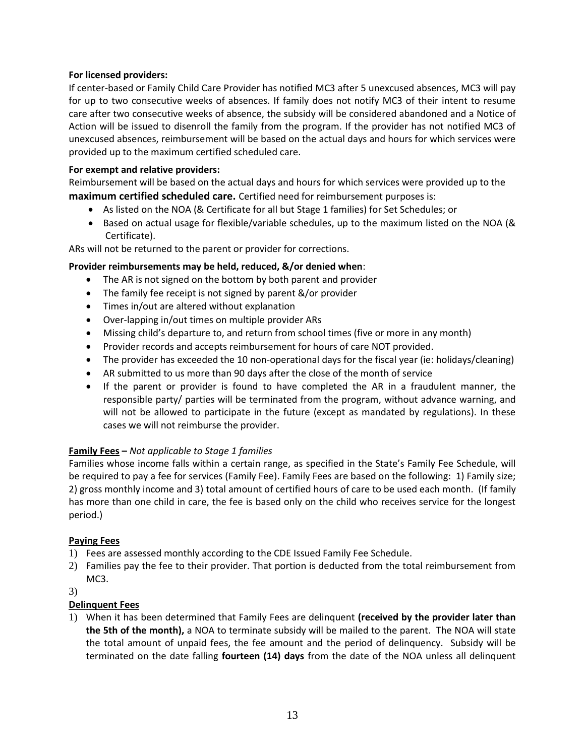#### **For licensed providers:**

If center-based or Family Child Care Provider has notified MC3 after 5 unexcused absences, MC3 will pay for up to two consecutive weeks of absences. If family does not notify MC3 of their intent to resume care after two consecutive weeks of absence, the subsidy will be considered abandoned and a Notice of Action will be issued to disenroll the family from the program. If the provider has not notified MC3 of unexcused absences, reimbursement will be based on the actual days and hours for which services were provided up to the maximum certified scheduled care.

#### **For exempt and relative providers:**

Reimbursement will be based on the actual days and hours for which services were provided up to the **maximum certified scheduled care.** Certified need for reimbursement purposes is:

- As listed on the NOA (& Certificate for all but Stage 1 families) for Set Schedules; or
- Based on actual usage for flexible/variable schedules, up to the maximum listed on the NOA (& Certificate).

ARs will not be returned to the parent or provider for corrections.

## **Provider reimbursements may be held, reduced, &/or denied when**:

- The AR is not signed on the bottom by both parent and provider
- The family fee receipt is not signed by parent &/or provider
- Times in/out are altered without explanation
- Over-lapping in/out times on multiple provider ARs
- Missing child's departure to, and return from school times (five or more in any month)
- Provider records and accepts reimbursement for hours of care NOT provided.
- The provider has exceeded the 10 non-operational days for the fiscal year (ie: holidays/cleaning)
- AR submitted to us more than 90 days after the close of the month of service
- If the parent or provider is found to have completed the AR in a fraudulent manner, the responsible party/ parties will be terminated from the program, without advance warning, and will not be allowed to participate in the future (except as mandated by regulations). In these cases we will not reimburse the provider.

## **Family Fees –** *Not applicable to Stage 1 families*

Families whose income falls within a certain range, as specified in the State's Family Fee Schedule, will be required to pay a fee for services (Family Fee). Family Fees are based on the following: 1) Family size; 2) gross monthly income and 3) total amount of certified hours of care to be used each month. (If family has more than one child in care, the fee is based only on the child who receives service for the longest period.)

## **Paying Fees**

- 1) Fees are assessed monthly according to the CDE Issued Family Fee Schedule.
- 2) Families pay the fee to their provider. That portion is deducted from the total reimbursement from MC3.

#### 3)

## **Delinquent Fees**

1) When it has been determined that Family Fees are delinquent **(received by the provider later than the 5th of the month),** a NOA to terminate subsidy will be mailed to the parent. The NOA will state the total amount of unpaid fees, the fee amount and the period of delinquency. Subsidy will be terminated on the date falling **fourteen (14) days** from the date of the NOA unless all delinquent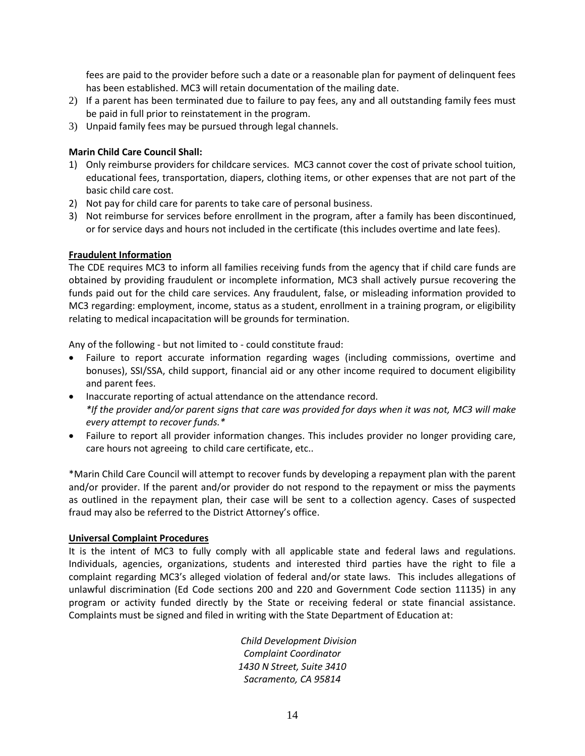fees are paid to the provider before such a date or a reasonable plan for payment of delinquent fees has been established. MC3 will retain documentation of the mailing date.

- 2) If a parent has been terminated due to failure to pay fees, any and all outstanding family fees must be paid in full prior to reinstatement in the program.
- 3) Unpaid family fees may be pursued through legal channels.

#### **Marin Child Care Council Shall:**

- 1) Only reimburse providers for childcare services. MC3 cannot cover the cost of private school tuition, educational fees, transportation, diapers, clothing items, or other expenses that are not part of the basic child care cost.
- 2) Not pay for child care for parents to take care of personal business.
- 3) Not reimburse for services before enrollment in the program, after a family has been discontinued, or for service days and hours not included in the certificate (this includes overtime and late fees).

#### **Fraudulent Information**

The CDE requires MC3 to inform all families receiving funds from the agency that if child care funds are obtained by providing fraudulent or incomplete information, MC3 shall actively pursue recovering the funds paid out for the child care services. Any fraudulent, false, or misleading information provided to MC3 regarding: employment, income, status as a student, enrollment in a training program, or eligibility relating to medical incapacitation will be grounds for termination.

Any of the following - but not limited to - could constitute fraud:

- Failure to report accurate information regarding wages (including commissions, overtime and bonuses), SSI/SSA, child support, financial aid or any other income required to document eligibility and parent fees.
- Inaccurate reporting of actual attendance on the attendance record. *\*If the provider and/or parent signs that care was provided for days when it was not, MC3 will make every attempt to recover funds.\**
- Failure to report all provider information changes. This includes provider no longer providing care, care hours not agreeing to child care certificate, etc..

\*Marin Child Care Council will attempt to recover funds by developing a repayment plan with the parent and/or provider. If the parent and/or provider do not respond to the repayment or miss the payments as outlined in the repayment plan, their case will be sent to a collection agency. Cases of suspected fraud may also be referred to the District Attorney's office.

#### **Universal Complaint Procedures**

It is the intent of MC3 to fully comply with all applicable state and federal laws and regulations. Individuals, agencies, organizations, students and interested third parties have the right to file a complaint regarding MC3's alleged violation of federal and/or state laws. This includes allegations of unlawful discrimination (Ed Code sections 200 and 220 and Government Code section 11135) in any program or activity funded directly by the State or receiving federal or state financial assistance. Complaints must be signed and filed in writing with the State Department of Education at:

> *Child Development Division Complaint Coordinator 1430 N Street, Suite 3410 Sacramento, CA 95814*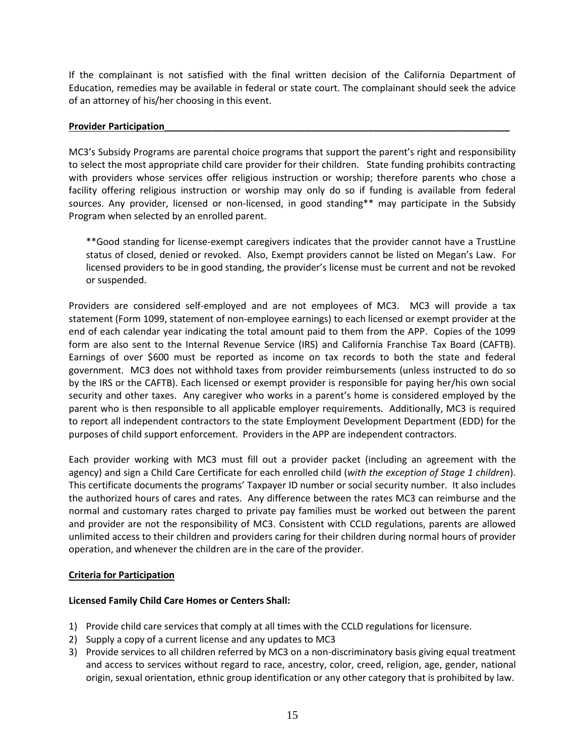If the complainant is not satisfied with the final written decision of the California Department of Education, remedies may be available in federal or state court. The complainant should seek the advice of an attorney of his/her choosing in this event.

#### **Provider Participation**

MC3's Subsidy Programs are parental choice programs that support the parent's right and responsibility to select the most appropriate child care provider for their children. State funding prohibits contracting with providers whose services offer religious instruction or worship; therefore parents who chose a facility offering religious instruction or worship may only do so if funding is available from federal sources. Any provider, licensed or non-licensed, in good standing\*\* may participate in the Subsidy Program when selected by an enrolled parent.

\*\*Good standing for license-exempt caregivers indicates that the provider cannot have a TrustLine status of closed, denied or revoked. Also, Exempt providers cannot be listed on Megan's Law. For licensed providers to be in good standing, the provider's license must be current and not be revoked or suspended.

Providers are considered self-employed and are not employees of MC3. MC3 will provide a tax statement (Form 1099, statement of non-employee earnings) to each licensed or exempt provider at the end of each calendar year indicating the total amount paid to them from the APP. Copies of the 1099 form are also sent to the Internal Revenue Service (IRS) and California Franchise Tax Board (CAFTB). Earnings of over \$600 must be reported as income on tax records to both the state and federal government. MC3 does not withhold taxes from provider reimbursements (unless instructed to do so by the IRS or the CAFTB). Each licensed or exempt provider is responsible for paying her/his own social security and other taxes. Any caregiver who works in a parent's home is considered employed by the parent who is then responsible to all applicable employer requirements. Additionally, MC3 is required to report all independent contractors to the state Employment Development Department (EDD) for the purposes of child support enforcement. Providers in the APP are independent contractors.

Each provider working with MC3 must fill out a provider packet (including an agreement with the agency) and sign a Child Care Certificate for each enrolled child (*with the exception of Stage 1 children*). This certificate documents the programs' Taxpayer ID number or social security number. It also includes the authorized hours of cares and rates. Any difference between the rates MC3 can reimburse and the normal and customary rates charged to private pay families must be worked out between the parent and provider are not the responsibility of MC3. Consistent with CCLD regulations, parents are allowed unlimited access to their children and providers caring for their children during normal hours of provider operation, and whenever the children are in the care of the provider.

## **Criteria for Participation**

## **Licensed Family Child Care Homes or Centers Shall:**

- 1) Provide child care services that comply at all times with the CCLD regulations for licensure.
- 2) Supply a copy of a current license and any updates to MC3
- 3) Provide services to all children referred by MC3 on a non-discriminatory basis giving equal treatment and access to services without regard to race, ancestry, color, creed, religion, age, gender, national origin, sexual orientation, ethnic group identification or any other category that is prohibited by law.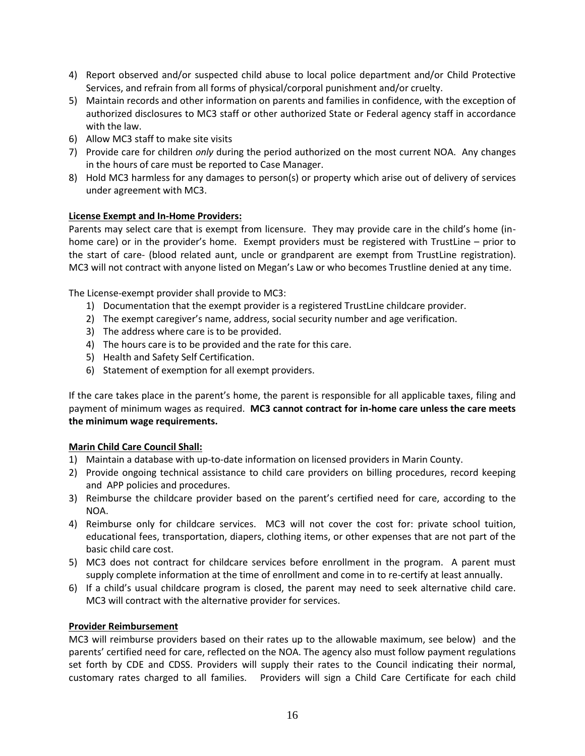- 4) Report observed and/or suspected child abuse to local police department and/or Child Protective Services, and refrain from all forms of physical/corporal punishment and/or cruelty.
- 5) Maintain records and other information on parents and families in confidence, with the exception of authorized disclosures to MC3 staff or other authorized State or Federal agency staff in accordance with the law.
- 6) Allow MC3 staff to make site visits
- 7) Provide care for children *only* during the period authorized on the most current NOA. Any changes in the hours of care must be reported to Case Manager.
- 8) Hold MC3 harmless for any damages to person(s) or property which arise out of delivery of services under agreement with MC3.

## **License Exempt and In-Home Providers:**

Parents may select care that is exempt from licensure. They may provide care in the child's home (inhome care) or in the provider's home. Exempt providers must be registered with TrustLine – prior to the start of care- (blood related aunt, uncle or grandparent are exempt from TrustLine registration). MC3 will not contract with anyone listed on Megan's Law or who becomes Trustline denied at any time.

The License-exempt provider shall provide to MC3:

- 1) Documentation that the exempt provider is a registered TrustLine childcare provider.
- 2) The exempt caregiver's name, address, social security number and age verification.
- 3) The address where care is to be provided.
- 4) The hours care is to be provided and the rate for this care.
- 5) Health and Safety Self Certification.
- 6) Statement of exemption for all exempt providers.

If the care takes place in the parent's home, the parent is responsible for all applicable taxes, filing and payment of minimum wages as required. **MC3 cannot contract for in-home care unless the care meets the minimum wage requirements.**

#### **Marin Child Care Council Shall:**

- 1) Maintain a database with up-to-date information on licensed providers in Marin County.
- 2) Provide ongoing technical assistance to child care providers on billing procedures, record keeping and APP policies and procedures.
- 3) Reimburse the childcare provider based on the parent's certified need for care, according to the NOA.
- 4) Reimburse only for childcare services. MC3 will not cover the cost for: private school tuition, educational fees, transportation, diapers, clothing items, or other expenses that are not part of the basic child care cost.
- 5) MC3 does not contract for childcare services before enrollment in the program. A parent must supply complete information at the time of enrollment and come in to re-certify at least annually.
- 6) If a child's usual childcare program is closed, the parent may need to seek alternative child care. MC3 will contract with the alternative provider for services.

#### **Provider Reimbursement**

MC3 will reimburse providers based on their rates up to the allowable maximum, see below) and the parents' certified need for care, reflected on the NOA. The agency also must follow payment regulations set forth by CDE and CDSS. Providers will supply their rates to the Council indicating their normal, customary rates charged to all families. Providers will sign a Child Care Certificate for each child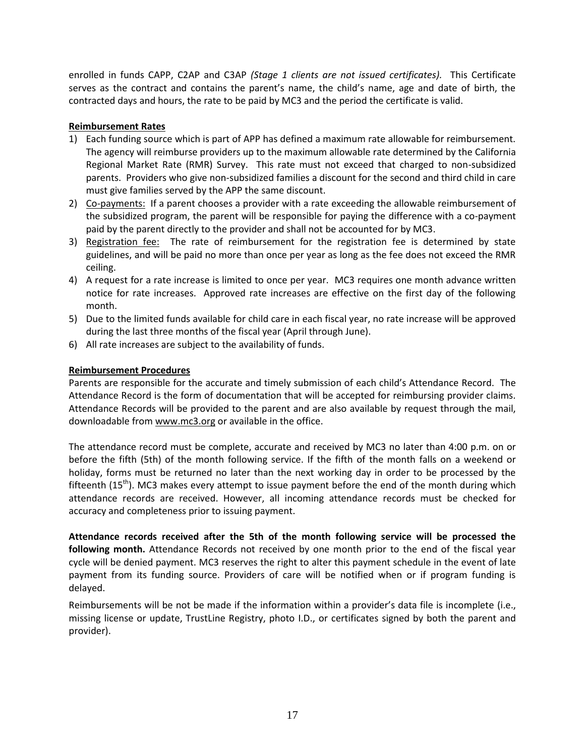enrolled in funds CAPP, C2AP and C3AP *(Stage 1 clients are not issued certificates).* This Certificate serves as the contract and contains the parent's name, the child's name, age and date of birth, the contracted days and hours, the rate to be paid by MC3 and the period the certificate is valid.

## **Reimbursement Rates**

- 1) Each funding source which is part of APP has defined a maximum rate allowable for reimbursement. The agency will reimburse providers up to the maximum allowable rate determined by the California Regional Market Rate (RMR) Survey. This rate must not exceed that charged to non-subsidized parents. Providers who give non-subsidized families a discount for the second and third child in care must give families served by the APP the same discount.
- 2) Co-payments: If a parent chooses a provider with a rate exceeding the allowable reimbursement of the subsidized program, the parent will be responsible for paying the difference with a co-payment paid by the parent directly to the provider and shall not be accounted for by MC3.
- 3) Registration fee: The rate of reimbursement for the registration fee is determined by state guidelines, and will be paid no more than once per year as long as the fee does not exceed the RMR ceiling.
- 4) A request for a rate increase is limited to once per year. MC3 requires one month advance written notice for rate increases. Approved rate increases are effective on the first day of the following month.
- 5) Due to the limited funds available for child care in each fiscal year, no rate increase will be approved during the last three months of the fiscal year (April through June).
- 6) All rate increases are subject to the availability of funds.

## **Reimbursement Procedures**

Parents are responsible for the accurate and timely submission of each child's Attendance Record. The Attendance Record is the form of documentation that will be accepted for reimbursing provider claims. Attendance Records will be provided to the parent and are also available by request through the mail, downloadable fro[m www.mc3.org](http://www.mc3.org/) or available in the office.

The attendance record must be complete, accurate and received by MC3 no later than 4:00 p.m. on or before the fifth (5th) of the month following service. If the fifth of the month falls on a weekend or holiday, forms must be returned no later than the next working day in order to be processed by the fifteenth  $(15<sup>th</sup>)$ . MC3 makes every attempt to issue payment before the end of the month during which attendance records are received. However, all incoming attendance records must be checked for accuracy and completeness prior to issuing payment.

**Attendance records received after the 5th of the month following service will be processed the following month.** Attendance Records not received by one month prior to the end of the fiscal year cycle will be denied payment. MC3 reserves the right to alter this payment schedule in the event of late payment from its funding source. Providers of care will be notified when or if program funding is delayed.

Reimbursements will be not be made if the information within a provider's data file is incomplete (i.e., missing license or update, TrustLine Registry, photo I.D., or certificates signed by both the parent and provider).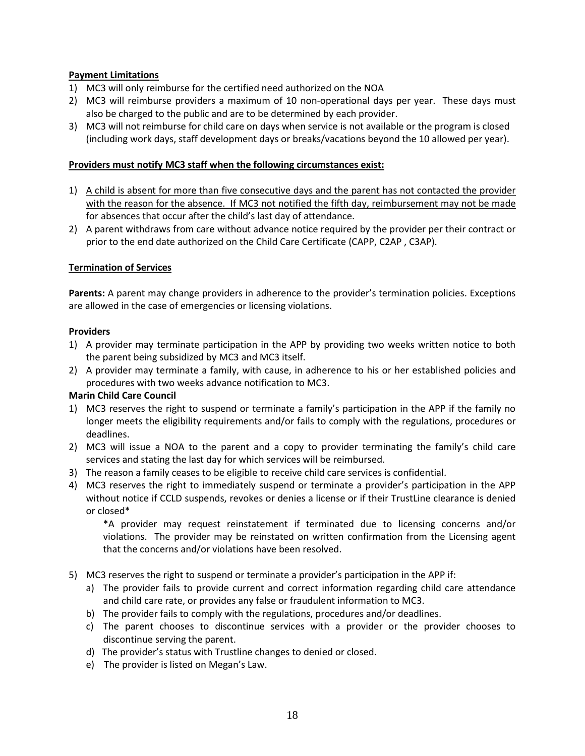## **Payment Limitations**

- 1) MC3 will only reimburse for the certified need authorized on the NOA
- 2) MC3 will reimburse providers a maximum of 10 non-operational days per year. These days must also be charged to the public and are to be determined by each provider.
- 3) MC3 will not reimburse for child care on days when service is not available or the program is closed (including work days, staff development days or breaks/vacations beyond the 10 allowed per year).

#### **Providers must notify MC3 staff when the following circumstances exist:**

- 1) A child is absent for more than five consecutive days and the parent has not contacted the provider with the reason for the absence. If MC3 not notified the fifth day, reimbursement may not be made for absences that occur after the child's last day of attendance.
- 2) A parent withdraws from care without advance notice required by the provider per their contract or prior to the end date authorized on the Child Care Certificate (CAPP, C2AP , C3AP).

#### **Termination of Services**

**Parents:** A parent may change providers in adherence to the provider's termination policies. Exceptions are allowed in the case of emergencies or licensing violations.

#### **Providers**

- 1) A provider may terminate participation in the APP by providing two weeks written notice to both the parent being subsidized by MC3 and MC3 itself.
- 2) A provider may terminate a family, with cause, in adherence to his or her established policies and procedures with two weeks advance notification to MC3.

#### **Marin Child Care Council**

- 1) MC3 reserves the right to suspend or terminate a family's participation in the APP if the family no longer meets the eligibility requirements and/or fails to comply with the regulations, procedures or deadlines.
- 2) MC3 will issue a NOA to the parent and a copy to provider terminating the family's child care services and stating the last day for which services will be reimbursed.
- 3) The reason a family ceases to be eligible to receive child care services is confidential.
- 4) MC3 reserves the right to immediately suspend or terminate a provider's participation in the APP without notice if CCLD suspends, revokes or denies a license or if their TrustLine clearance is denied or closed\*

\*A provider may request reinstatement if terminated due to licensing concerns and/or violations. The provider may be reinstated on written confirmation from the Licensing agent that the concerns and/or violations have been resolved.

- 5) MC3 reserves the right to suspend or terminate a provider's participation in the APP if:
	- a) The provider fails to provide current and correct information regarding child care attendance and child care rate, or provides any false or fraudulent information to MC3.
	- b) The provider fails to comply with the regulations, procedures and/or deadlines.
	- c) The parent chooses to discontinue services with a provider or the provider chooses to discontinue serving the parent.
	- d) The provider's status with Trustline changes to denied or closed.
	- e) The provider is listed on Megan's Law.